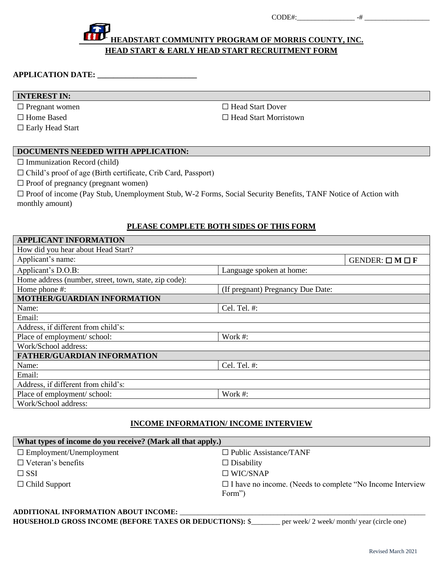$\text{CODE#:}$   $-#$ 

# **HEADSTART COMMUNITY PROGRAM OF MORRIS COUNTY, INC. [H](http://carldems.blogspot.com/2009/01/save-head-start.html)EAD START & EARLY HEAD START RECRUITMENT FORM**

#### **APPLICATION DATE: \_\_\_\_\_\_\_\_\_\_\_\_\_\_\_\_\_\_\_\_\_\_\_\_\_**

#### **INTEREST IN:**

☐ Pregnant women ☐ Head Start Dover

□ Early Head Start

☐ Home Based ☐ Head Start Morristown

## **DOCUMENTS NE[ED](https://creativecommons.org/licenses/by-sa/3.0/)ED WITH APPLICATION:**

 $\Box$  Immunization Record (child)

☐ Child's proof of age (Birth certificate, Crib Card, Passport)

 $\Box$  Proof of pregnancy (pregnant women)

□ Proof of income (Pay Stub, Unemployment Stub, W-2 Forms, Social Security Benefits, TANF Notice of Action with monthly amount)

## **PLEASE COMPLETE BOTH SIDES OF THIS FORM**

| <b>APPLICANT INFORMATION</b>                          |                                   |                               |
|-------------------------------------------------------|-----------------------------------|-------------------------------|
| How did you hear about Head Start?                    |                                   |                               |
| Applicant's name:                                     |                                   | GENDER: $\square M \square F$ |
| Applicant's D.O.B:                                    | Language spoken at home:          |                               |
| Home address (number, street, town, state, zip code): |                                   |                               |
| Home phone #:                                         | (If pregnant) Pregnancy Due Date: |                               |
| MOTHER/GUARDIAN INFORMATION                           |                                   |                               |
| Name:                                                 | Cel. Tel. #:                      |                               |
| Email:                                                |                                   |                               |
| Address, if different from child's:                   |                                   |                               |
| Place of employment/ school:                          | Work $#$ :                        |                               |
| Work/School address:                                  |                                   |                               |
| <b>FATHER/GUARDIAN INFORMATION</b>                    |                                   |                               |
| Name:                                                 | Cel. Tel. #:                      |                               |
| Email:                                                |                                   |                               |
| Address, if different from child's:                   |                                   |                               |
| Place of employment/ school:                          | Work #:                           |                               |
| Work/School address:                                  |                                   |                               |

## **INCOME INFORMATION/ INCOME INTERVIEW**

| What types of income do you receive? (Mark all that apply.) |                                                                             |
|-------------------------------------------------------------|-----------------------------------------------------------------------------|
| $\Box$ Employment/Unemployment                              | $\Box$ Public Assistance/TANF                                               |
| $\Box$ Veteran's benefits                                   | $\Box$ Disability                                                           |
| $\square$ SSI                                               | $\Box$ WIC/SNAP                                                             |
| $\Box$ Child Support                                        | $\Box$ I have no income. (Needs to complete "No Income Interview"<br>Form") |

#### ADDITIONAL INFORMATION ABOUT INCOME: **HOUSEHOLD GROSS INCOME (BEFORE TAXES OR DEDUCTIONS):** \$\_\_\_\_\_\_\_\_ per week/ 2 week/ month/ year (circle one)